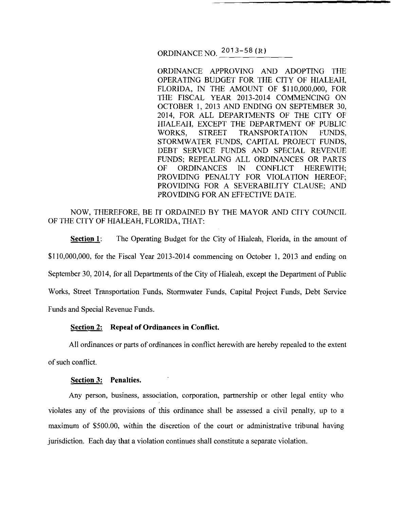ORDINANCE NO. 2013- 58 (R)

ORDINANCE APPROVING AND ADOPTING THE OPERATING BUDGET FOR THE CITY OF HIALEAH, FLORIDA, IN THE AMOUNT OF \$110,000,000, FOR THE FISCAL YEAR 2013-2014 COMMENCING ON OCTOBER I, 2013 AND ENDING ON SEPTEMBER 30, 2014, FOR ALL DEPARTMENTS OF THE CITY OF HIALEAH, EXCEPT THE DEPARTMENT OF PUBLIC WORKS, STREET TRANSPORTATION FUNDS, STORMWATER FUNDS, CAPITAL PROJECT FUNDS, DEBT SERVICE FUNDS AND SPECIAL REVENUE FUNDS; REPEALING ALL ORDINANCES OR PARTS OF ORDINANCES IN CONFLICT HEREWITH; PROVIDING PENALTY FOR VIOLATION HEREOF; PROVIDING FOR A SEVERABILITY CLAUSE; AND PROVIDING FOR AN EFFECTIVE DATE.

# NOW, THEREFORE, BE IT ORDAINED BY THE MAYOR AND CITY COUNCIL OF THE CITY OF HIALEAH, FLORIDA, THAT:

**Section 1:** The Operating Budget for the City of Hialeah, Florida, in the amount of \$110,000,000, for the Fiscal Year 2013-2014 commencing on October 1, 2013 and ending on September 30, 2014, for all Departments of the City of Hialeah, except the Department of Public Works, Street Transportation Funds, Stormwater Funds, Capital Project Funds, Debt Service Funds and Special Revenue Funds.

## **Section 2: Repeal of Ordinances in Conflict.**

All ordinances or parts of ordinances in conflict herewith are hereby repealed to the extent of such conflict.

### **Section 3: Penalties.**

Any person, business, association, corporation, partnership or other legal entity who violates any of the provisions of this ordinance shall be assessed a civil penalty, up to a maximum of \$500.00, within the discretion of the court or administrative tribunal having jurisdiction. Each day that a violation continues shall constitute a separate violation.